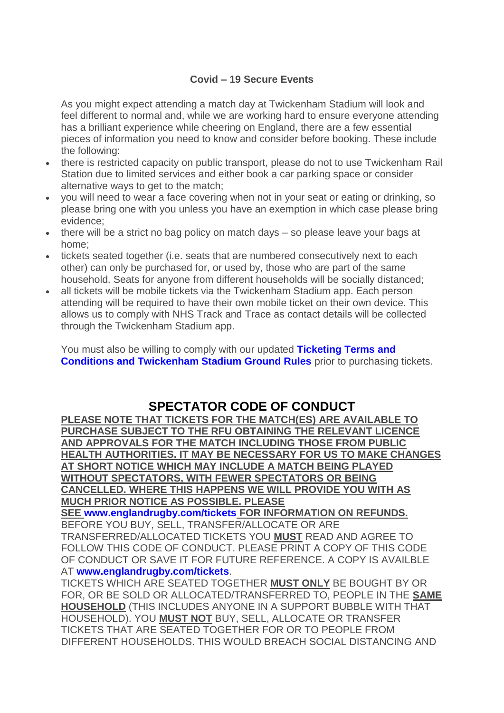#### **Covid – 19 Secure Events**

As you might expect attending a match day at Twickenham Stadium will look and feel different to normal and, while we are working hard to ensure everyone attending has a brilliant experience while cheering on England, there are a few essential pieces of information you need to know and consider before booking. These include the following:

- there is restricted capacity on public transport, please do not to use Twickenham Rail Station due to limited services and either book a car parking space or consider alternative ways to get to the match;
- you will need to wear a face covering when not in your seat or eating or drinking, so please bring one with you unless you have an exemption in which case please bring evidence;
- there will be a strict no bag policy on match days so please leave your bags at home;
- tickets seated together (i.e. seats that are numbered consecutively next to each other) can only be purchased for, or used by, those who are part of the same household. Seats for anyone from different households will be socially distanced;
- all tickets will be mobile tickets via the Twickenham Stadium app. Each person attending will be required to have their own mobile ticket on their own device. This allows us to comply with NHS Track and Trace as contact details will be collected through the Twickenham Stadium app.

You must also be willing to comply with our updated **[Ticketing Terms and](https://www.eticketing.co.uk/rfu/Common/CustomerNotice/TermsAndConditions)  [Conditions and Twickenham Stadium Ground Rules](https://www.eticketing.co.uk/rfu/Common/CustomerNotice/TermsAndConditions)** prior to purchasing tickets.

# **SPECTATOR CODE OF CONDUCT**

**PLEASE NOTE THAT TICKETS FOR THE MATCH(ES) ARE AVAILABLE TO PURCHASE SUBJECT TO THE RFU OBTAINING THE RELEVANT LICENCE AND APPROVALS FOR THE MATCH INCLUDING THOSE FROM PUBLIC HEALTH AUTHORITIES. IT MAY BE NECESSARY FOR US TO MAKE CHANGES AT SHORT NOTICE WHICH MAY INCLUDE A MATCH BEING PLAYED WITHOUT SPECTATORS, WITH FEWER SPECTATORS OR BEING CANCELLED. WHERE THIS HAPPENS WE WILL PROVIDE YOU WITH AS MUCH PRIOR NOTICE AS POSSIBLE. PLEASE** 

**SEE [www.englandrugby.com/tickets](http://www.englandrugby.com/tickets) FOR INFORMATION ON REFUNDS.** BEFORE YOU BUY, SELL, TRANSFER/ALLOCATE OR ARE TRANSFERRED/ALLOCATED TICKETS YOU **MUST** READ AND AGREE TO FOLLOW THIS CODE OF CONDUCT. PLEASE PRINT A COPY OF THIS CODE OF CONDUCT OR SAVE IT FOR FUTURE REFERENCE. A COPY IS AVAILBLE AT **[www.englandrugby.com/tickets](http://www.englandrugby.com/tickets)**.

TICKETS WHICH ARE SEATED TOGETHER **MUST ONLY** BE BOUGHT BY OR FOR, OR BE SOLD OR ALLOCATED/TRANSFERRED TO, PEOPLE IN THE **SAME HOUSEHOLD** (THIS INCLUDES ANYONE IN A SUPPORT BUBBLE WITH THAT HOUSEHOLD). YOU **MUST NOT** BUY, SELL, ALLOCATE OR TRANSFER TICKETS THAT ARE SEATED TOGETHER FOR OR TO PEOPLE FROM DIFFERENT HOUSEHOLDS. THIS WOULD BREACH SOCIAL DISTANCING AND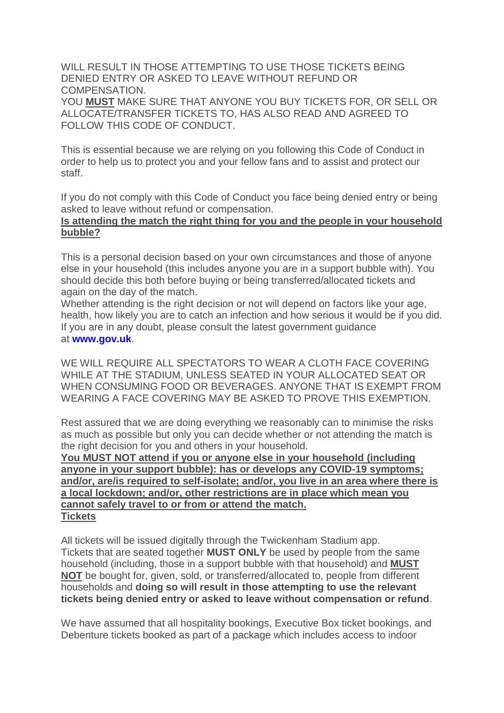WILL RESULT IN THOSE ATTEMPTING TO USE THOSE TICKETS BEING DENIED ENTRY OR ASKED TO LEAVE WITHOUT REFUND OR COMPENSATION. YOU **MUST** MAKE SURE THAT ANYONE YOU BUY TICKETS FOR, OR SELL OR

ALLOCATE/TRANSFER TICKETS TO, HAS ALSO READ AND AGREED TO FOLLOW THIS CODE OF CONDUCT.

This is essential because we are relying on you following this Code of Conduct in order to help us to protect you and your fellow fans and to assist and protect our staff.

If you do not comply with this Code of Conduct you face being denied entry or being asked to leave without refund or compensation.

#### **Is attending the match the right thing for you and the people in your household bubble?**

This is a personal decision based on your own circumstances and those of anyone else in your household (this includes anyone you are in a support bubble with). You should decide this both before buying or being transferred/allocated tickets and again on the day of the match.

Whether attending is the right decision or not will depend on factors like your age, health, how likely you are to catch an infection and how serious it would be if you did. If you are in any doubt, please consult the latest government guidance at **[www.gov.uk](http://www.gov.uk/)**.

WE WILL REQUIRE ALL SPECTATORS TO WEAR A CLOTH FACE COVERING WHILE AT THE STADIUM, UNLESS SEATED IN YOUR ALLOCATED SEAT OR WHEN CONSUMING FOOD OR BEVERAGES. ANYONE THAT IS EXEMPT FROM WEARING A FACE COVERING MAY BE ASKED TO PROVE THIS EXEMPTION.

Rest assured that we are doing everything we reasonably can to minimise the risks as much as possible but only you can decide whether or not attending the match is the right decision for you and others in your household.

**You MUST NOT attend if you or anyone else in your household (including anyone in your support bubble): has or develops any COVID-19 symptoms; and/or, are/is required to self-isolate; and/or, you live in an area where there is a local lockdown; and/or, other restrictions are in place which mean you cannot safely travel to or from or attend the match. Tickets**

All tickets will be issued digitally through the Twickenham Stadium app. Tickets that are seated together **MUST ONLY** be used by people from the same household (including, those in a support bubble with that household) and **MUST NOT** be bought for, given, sold, or transferred/allocated to, people from different households and **doing so will result in those attempting to use the relevant tickets being denied entry or asked to leave without compensation or refund**.

We have assumed that all hospitality bookings, Executive Box ticket bookings, and Debenture tickets booked as part of a package which includes access to indoor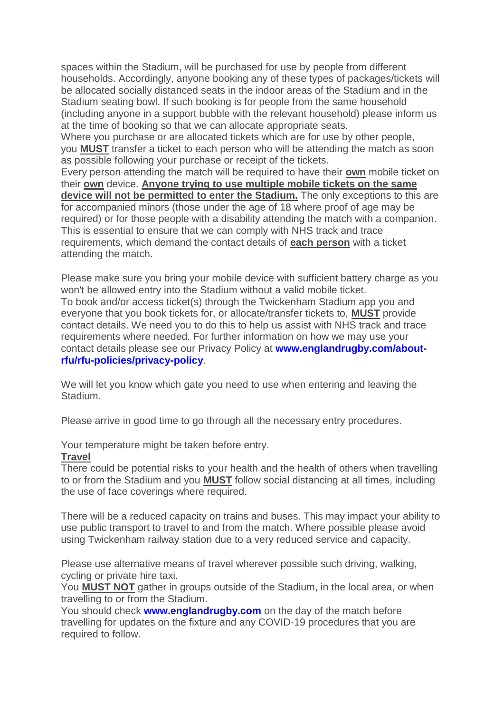spaces within the Stadium, will be purchased for use by people from different households. Accordingly, anyone booking any of these types of packages/tickets will be allocated socially distanced seats in the indoor areas of the Stadium and in the Stadium seating bowl. If such booking is for people from the same household (including anyone in a support bubble with the relevant household) please inform us at the time of booking so that we can allocate appropriate seats.

Where you purchase or are allocated tickets which are for use by other people, you **MUST** transfer a ticket to each person who will be attending the match as soon as possible following your purchase or receipt of the tickets.

Every person attending the match will be required to have their **own** mobile ticket on their **own** device. **Anyone trying to use multiple mobile tickets on the same device will not be permitted to enter the Stadium.** The only exceptions to this are for accompanied minors (those under the age of 18 where proof of age may be required) or for those people with a disability attending the match with a companion. This is essential to ensure that we can comply with NHS track and trace requirements, which demand the contact details of **each person** with a ticket attending the match.

Please make sure you bring your mobile device with sufficient battery charge as you won't be allowed entry into the Stadium without a valid mobile ticket. To book and/or access ticket(s) through the Twickenham Stadium app you and everyone that you book tickets for, or allocate/transfer tickets to, **MUST** provide contact details. We need you to do this to help us assist with NHS track and trace requirements where needed. For further information on how we may use your contact details please see our Privacy Policy at **[www.englandrugby.com/about](https://www.englandrugby.com/about-rfu/rfu-policies/privacy-policy)[rfu/rfu-policies/privacy-policy](https://www.englandrugby.com/about-rfu/rfu-policies/privacy-policy)**.

We will let you know which gate you need to use when entering and leaving the Stadium.

Please arrive in good time to go through all the necessary entry procedures.

Your temperature might be taken before entry.

# **Travel**

There could be potential risks to your health and the health of others when travelling to or from the Stadium and you **MUST** follow social distancing at all times, including the use of face coverings where required.

There will be a reduced capacity on trains and buses. This may impact your ability to use public transport to travel to and from the match. Where possible please avoid using Twickenham railway station due to a very reduced service and capacity.

Please use alternative means of travel wherever possible such driving, walking, cycling or private hire taxi.

You **MUST NOT** gather in groups outside of the Stadium, in the local area, or when travelling to or from the Stadium.

You should check **[www.englandrugby.com](http://www.englandrugby.com/)** on the day of the match before travelling for updates on the fixture and any COVID-19 procedures that you are required to follow.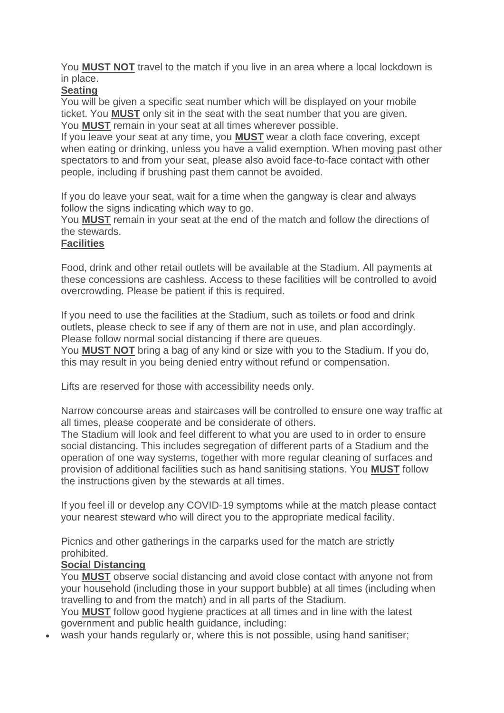You **MUST NOT** travel to the match if you live in an area where a local lockdown is in place.

# **Seating**

You will be given a specific seat number which will be displayed on your mobile ticket. You **MUST** only sit in the seat with the seat number that you are given. You **MUST** remain in your seat at all times wherever possible.

If you leave your seat at any time, you **MUST** wear a cloth face covering, except when eating or drinking, unless you have a valid exemption. When moving past other spectators to and from your seat, please also avoid face-to-face contact with other people, including if brushing past them cannot be avoided.

If you do leave your seat, wait for a time when the gangway is clear and always follow the signs indicating which way to go.

You **MUST** remain in your seat at the end of the match and follow the directions of the stewards.

# **Facilities**

Food, drink and other retail outlets will be available at the Stadium. All payments at these concessions are cashless. Access to these facilities will be controlled to avoid overcrowding. Please be patient if this is required.

If you need to use the facilities at the Stadium, such as toilets or food and drink outlets, please check to see if any of them are not in use, and plan accordingly. Please follow normal social distancing if there are queues.

You **MUST NOT** bring a bag of any kind or size with you to the Stadium. If you do, this may result in you being denied entry without refund or compensation.

Lifts are reserved for those with accessibility needs only.

Narrow concourse areas and staircases will be controlled to ensure one way traffic at all times, please cooperate and be considerate of others.

The Stadium will look and feel different to what you are used to in order to ensure social distancing. This includes segregation of different parts of a Stadium and the operation of one way systems, together with more regular cleaning of surfaces and provision of additional facilities such as hand sanitising stations. You **MUST** follow the instructions given by the stewards at all times.

If you feel ill or develop any COVID-19 symptoms while at the match please contact your nearest steward who will direct you to the appropriate medical facility.

Picnics and other gatherings in the carparks used for the match are strictly prohibited.

# **Social Distancing**

You **MUST** observe social distancing and avoid close contact with anyone not from your household (including those in your support bubble) at all times (including when travelling to and from the match) and in all parts of the Stadium.

You **MUST** follow good hygiene practices at all times and in line with the latest government and public health guidance, including:

wash your hands regularly or, where this is not possible, using hand sanitiser;